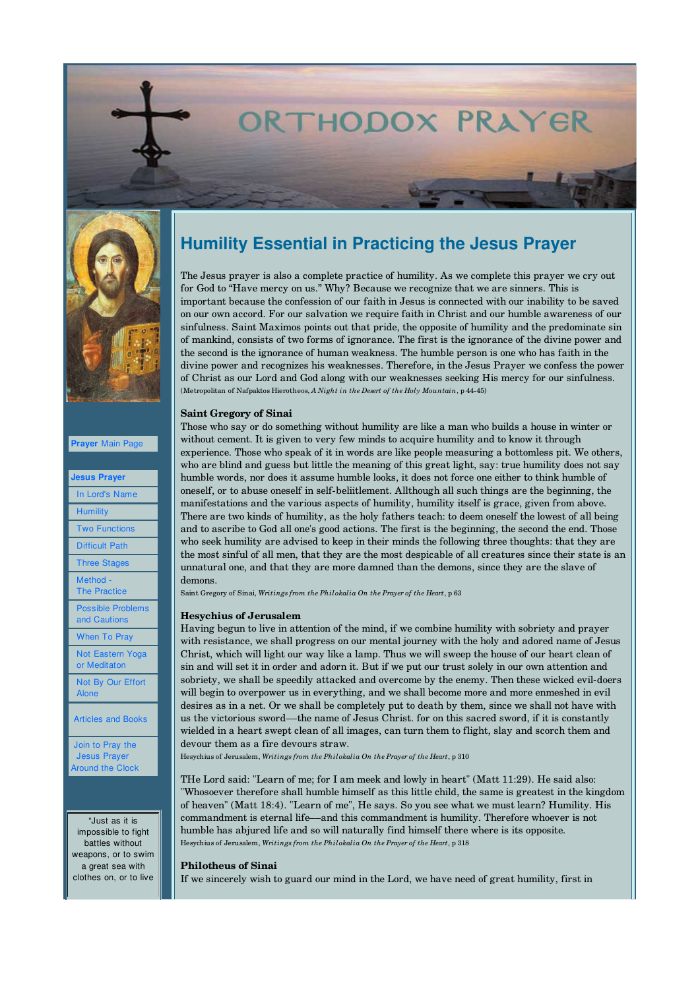# ORTHODOX PRAYER



## Prayer Main Page

Jesus Prayer In Lord's Name **Humility**  Two Functions Difficult Path Three Stages **Method**  The Practice Possible Problems and Cautions When To Pray Not Eastern Yoga or Meditaton Not By Our Effort Alone

Articles and Books

 Join to Pray the Jesus Prayer Around the Clock

"Just as it is impossible to fight battles without weapons, or to swim a great sea with clothes on, or to live

# Humility Essential in Practicing the Jesus Prayer

The Jesus prayer is also a complete practice of humility. As we complete this prayer we cry out for God to "Have mercy on us." Why? Because we recognize that we are sinners. This is important because the confession of our faith in Jesus is connected with our inability to be saved on our own accord. For our salvation we require faith in Christ and our humble awareness of our sinfulness. Saint Maximos points out that pride, the opposite of humility and the predominate sin of mankind, consists of two forms of ignorance. The first is the ignorance of the divine power and the second is the ignorance of human weakness. The humble person is one who has faith in the divine power and recognizes his weaknesses. Therefore, in the Jesus Prayer we confess the power of Christ as our Lord and God along with our weaknesses seeking His mercy for our sinfulness. (Metropolitan of Nafpaktos Hierotheos, A Night in the Desert of the Holy Mountain, p 44-45)

#### Saint Gregory of Sinai

Those who say or do something without humility are like a man who builds a house in winter or without cement. It is given to very few minds to acquire humility and to know it through experience. Those who speak of it in words are like people measuring a bottomless pit. We others, who are blind and guess but little the meaning of this great light, say: true humility does not say humble words, nor does it assume humble looks, it does not force one either to think humble of oneself, or to abuse oneself in self-beliitlement. Allthough all such things are the beginning, the manifestations and the various aspects of humility, humility itself is grace, given from above. There are two kinds of humility, as the holy fathers teach: to deem oneself the lowest of all being and to ascribe to God all one's good actions. The first is the beginning, the second the end. Those who seek humility are advised to keep in their minds the following three thoughts: that they are the most sinful of all men, that they are the most despicable of all creatures since their state is an unnatural one, and that they are more damned than the demons, since they are the slave of demons.

Saint Gregory of Sinai, Writings from the Philokalia On the Prayer of the Heart, p 63

#### Hesychius of Jerusalem

Having begun to live in attention of the mind, if we combine humility with sobriety and prayer with resistance, we shall progress on our mental journey with the holy and adored name of Jesus Christ, which will light our way like a lamp. Thus we will sweep the house of our heart clean of sin and will set it in order and adorn it. But if we put our trust solely in our own attention and sobriety, we shall be speedily attacked and overcome by the enemy. Then these wicked evil-doers will begin to overpower us in everything, and we shall become more and more enmeshed in evil desires as in a net. Or we shall be completely put to death by them, since we shall not have with us the victorious sword––the name of Jesus Christ. for on this sacred sword, if it is constantly wielded in a heart swept clean of all images, can turn them to flight, slay and scorch them and devour them as a fire devours straw.

Hesychius of Jerusalem, Writings from the Philokalia On the Prayer of the Heart, p 310

THe Lord said: "Learn of me; for I am meek and lowly in heart" (Matt 11:29). He said also: "Whosoever therefore shall humble himself as this little child, the same is greatest in the kingdom of heaven" (Matt 18:4). "Learn of me", He says. So you see what we must learn? Humility. His commandment is eternal life––and this commandment is humility. Therefore whoever is not humble has abjured life and so will naturally find himself there where is its opposite. Hesychius of Jerusalem, Writings from the Philokalia On the Prayer of the Heart, p 318

#### Philotheus of Sinai

If we sincerely wish to guard our mind in the Lord, we have need of great humility, first in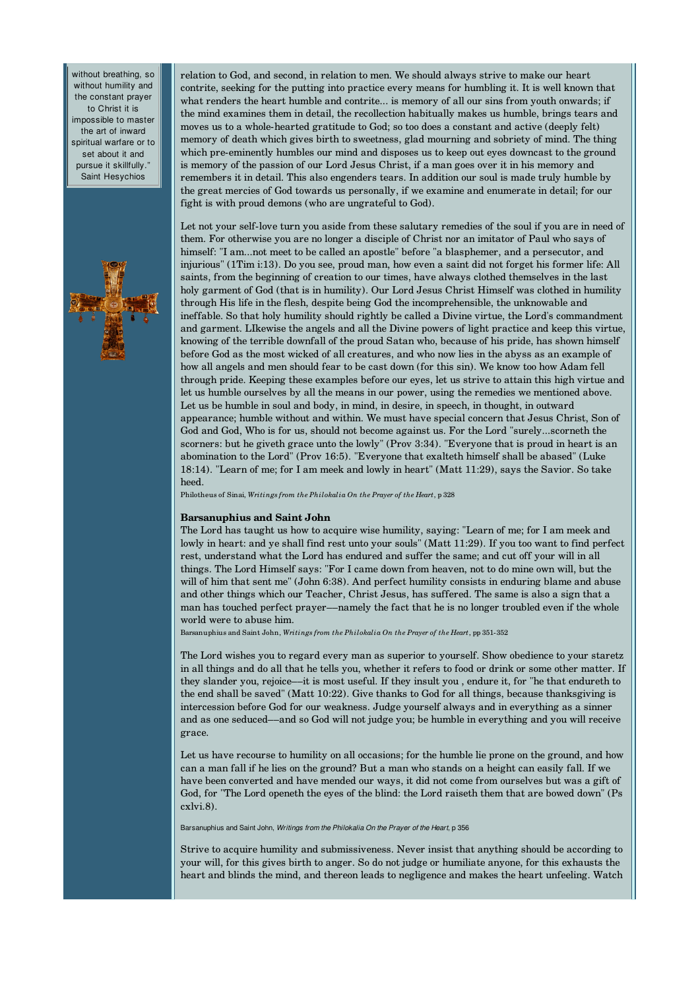without breathing, so without humility and the constant prayer to Christ it is impossible to master the art of inward spiritual warfare or to set about it and pursue it skillfully." Saint Hesychios



relation to God, and second, in relation to men. We should always strive to make our heart contrite, seeking for the putting into practice every means for humbling it. It is well known that what renders the heart humble and contrite... is memory of all our sins from youth onwards; if the mind examines them in detail, the recollection habitually makes us humble, brings tears and moves us to a whole-hearted gratitude to God; so too does a constant and active (deeply felt) memory of death which gives birth to sweetness, glad mourning and sobriety of mind. The thing which pre-eminently humbles our mind and disposes us to keep out eyes downcast to the ground is memory of the passion of our Lord Jesus Christ, if a man goes over it in his memory and remembers it in detail. This also engenders tears. In addition our soul is made truly humble by the great mercies of God towards us personally, if we examine and enumerate in detail; for our fight is with proud demons (who are ungrateful to God).

Let not your self-love turn you aside from these salutary remedies of the soul if you are in need of them. For otherwise you are no longer a disciple of Christ nor an imitator of Paul who says of himself: "I am...not meet to be called an apostle" before "a blasphemer, and a persecutor, and injurious" (1Tim i:13). Do you see, proud man, how even a saint did not forget his former life: All saints, from the beginning of creation to our times, have always clothed themselves in the last holy garment of God (that is in humility). Our Lord Jesus Christ Himself was clothed in humility through His life in the flesh, despite being God the incomprehensible, the unknowable and ineffable. So that holy humility should rightly be called a Divine virtue, the Lord's commandment and garment. LIkewise the angels and all the Divine powers of light practice and keep this virtue, knowing of the terrible downfall of the proud Satan who, because of his pride, has shown himself before God as the most wicked of all creatures, and who now lies in the abyss as an example of how all angels and men should fear to be cast down (for this sin). We know too how Adam fell through pride. Keeping these examples before our eyes, let us strive to attain this high virtue and let us humble ourselves by all the means in our power, using the remedies we mentioned above. Let us be humble in soul and body, in mind, in desire, in speech, in thought, in outward appearance; humble without and within. We must have special concern that Jesus Christ, Son of God and God, Who is for us, should not become against us. For the Lord "surely...scorneth the scorners: but he giveth grace unto the lowly" (Prov 3:34). "Everyone that is proud in heart is an abomination to the Lord" (Prov 16:5). "Everyone that exalteth himself shall be abased" (Luke 18:14). "Learn of me; for I am meek and lowly in heart" (Matt 11:29), says the Savior. So take heed.

Philotheus of Sinai, Writings from the Philokalia On the Prayer of the Heart, p 328

#### Barsanuphius and Saint John

The Lord has taught us how to acquire wise humility, saying: "Learn of me; for I am meek and lowly in heart: and ye shall find rest unto your souls" (Matt 11:29). If you too want to find perfect rest, understand what the Lord has endured and suffer the same; and cut off your will in all things. The Lord Himself says: "For I came down from heaven, not to do mine own will, but the will of him that sent me" (John 6:38). And perfect humility consists in enduring blame and abuse and other things which our Teacher, Christ Jesus, has suffered. The same is also a sign that a man has touched perfect prayer––namely the fact that he is no longer troubled even if the whole world were to abuse him.

Barsanuphius and Saint John, Writings from the Philokalia On the Prayer of the Heart, pp 351-352

The Lord wishes you to regard every man as superior to yourself. Show obedience to your staretz in all things and do all that he tells you, whether it refers to food or drink or some other matter. If they slander you, rejoice––it is most useful. If they insult you , endure it, for "he that endureth to the end shall be saved" (Matt 10:22). Give thanks to God for all things, because thanksgiving is intercession before God for our weakness. Judge yourself always and in everything as a sinner and as one seduced––and so God will not judge you; be humble in everything and you will receive grace.

Let us have recourse to humility on all occasions; for the humble lie prone on the ground, and how can a man fall if he lies on the ground? But a man who stands on a height can easily fall. If we have been converted and have mended our ways, it did not come from ourselves but was a gift of God, for "The Lord openeth the eyes of the blind: the Lord raiseth them that are bowed down" (Ps cxlvi.8).

Barsanuphius and Saint John, Writings from the Philokalia On the Prayer of the Heart, p 356

Strive to acquire humility and submissiveness. Never insist that anything should be according to your will, for this gives birth to anger. So do not judge or humiliate anyone, for this exhausts the heart and blinds the mind, and thereon leads to negligence and makes the heart unfeeling. Watch